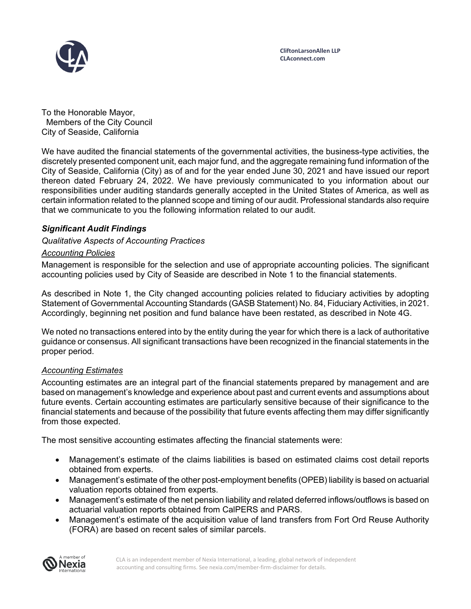

To the Honorable Mayor, Members of the City Council City of Seaside, California

We have audited the financial statements of the governmental activities, the business-type activities, the discretely presented component unit, each major fund, and the aggregate remaining fund information of the City of Seaside, California (City) as of and for the year ended June 30, 2021 and have issued our report thereon dated February 24, 2022. We have previously communicated to you information about our responsibilities under auditing standards generally accepted in the United States of America, as well as certain information related to the planned scope and timing of our audit. Professional standards also require that we communicate to you the following information related to our audit.

# *Significant Audit Findings*

## *Qualitative Aspects of Accounting Practices*

### *Accounting Policies*

Management is responsible for the selection and use of appropriate accounting policies. The significant accounting policies used by City of Seaside are described in Note 1 to the financial statements.

As described in Note 1, the City changed accounting policies related to fiduciary activities by adopting Statement of Governmental Accounting Standards (GASB Statement) No. 84, Fiduciary Activities, in 2021. Accordingly, beginning net position and fund balance have been restated, as described in Note 4G.

We noted no transactions entered into by the entity during the year for which there is a lack of authoritative guidance or consensus. All significant transactions have been recognized in the financial statements in the proper period.

#### *Accounting Estimates*

Accounting estimates are an integral part of the financial statements prepared by management and are based on management's knowledge and experience about past and current events and assumptions about future events. Certain accounting estimates are particularly sensitive because of their significance to the financial statements and because of the possibility that future events affecting them may differ significantly from those expected.

The most sensitive accounting estimates affecting the financial statements were:

- Management's estimate of the claims liabilities is based on estimated claims cost detail reports obtained from experts.
- Management's estimate of the other post-employment benefits (OPEB) liability is based on actuarial valuation reports obtained from experts.
- Management's estimate of the net pension liability and related deferred inflows/outflows is based on actuarial valuation reports obtained from CalPERS and PARS.
- Management's estimate of the acquisition value of land transfers from Fort Ord Reuse Authority (FORA) are based on recent sales of similar parcels.

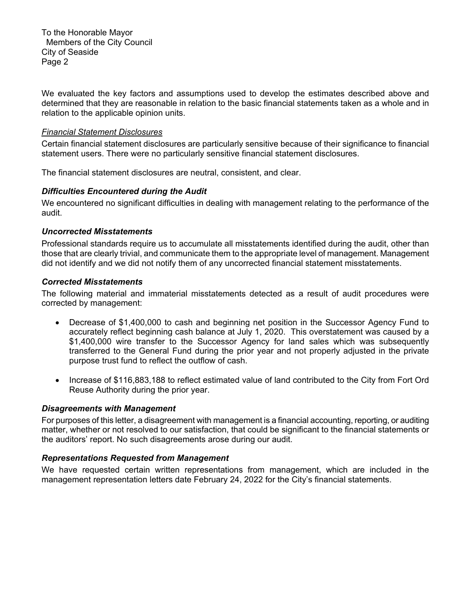To the Honorable Mayor Members of the City Council City of Seaside Page 2

We evaluated the key factors and assumptions used to develop the estimates described above and determined that they are reasonable in relation to the basic financial statements taken as a whole and in relation to the applicable opinion units.

#### *Financial Statement Disclosures*

Certain financial statement disclosures are particularly sensitive because of their significance to financial statement users. There were no particularly sensitive financial statement disclosures.

The financial statement disclosures are neutral, consistent, and clear.

### *Difficulties Encountered during the Audit*

We encountered no significant difficulties in dealing with management relating to the performance of the audit.

### *Uncorrected Misstatements*

Professional standards require us to accumulate all misstatements identified during the audit, other than those that are clearly trivial, and communicate them to the appropriate level of management. Management did not identify and we did not notify them of any uncorrected financial statement misstatements.

### *Corrected Misstatements*

The following material and immaterial misstatements detected as a result of audit procedures were corrected by management:

- Decrease of \$1,400,000 to cash and beginning net position in the Successor Agency Fund to accurately reflect beginning cash balance at July 1, 2020. This overstatement was caused by a \$1,400,000 wire transfer to the Successor Agency for land sales which was subsequently transferred to the General Fund during the prior year and not properly adjusted in the private purpose trust fund to reflect the outflow of cash.
- Increase of \$116,883,188 to reflect estimated value of land contributed to the City from Fort Ord Reuse Authority during the prior year.

## *Disagreements with Management*

For purposes of this letter, a disagreement with management is a financial accounting, reporting, or auditing matter, whether or not resolved to our satisfaction, that could be significant to the financial statements or the auditors' report. No such disagreements arose during our audit.

#### *Representations Requested from Management*

We have requested certain written representations from management, which are included in the management representation letters date February 24, 2022 for the City's financial statements.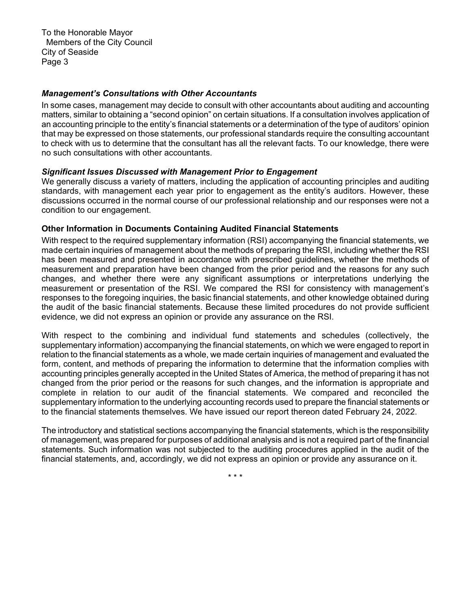To the Honorable Mayor Members of the City Council City of Seaside Page 3

## *Management's Consultations with Other Accountants*

In some cases, management may decide to consult with other accountants about auditing and accounting matters, similar to obtaining a "second opinion" on certain situations. If a consultation involves application of an accounting principle to the entity's financial statements or a determination of the type of auditors' opinion that may be expressed on those statements, our professional standards require the consulting accountant to check with us to determine that the consultant has all the relevant facts. To our knowledge, there were no such consultations with other accountants.

### *Significant Issues Discussed with Management Prior to Engagement*

We generally discuss a variety of matters, including the application of accounting principles and auditing standards, with management each year prior to engagement as the entity's auditors. However, these discussions occurred in the normal course of our professional relationship and our responses were not a condition to our engagement.

#### **Other Information in Documents Containing Audited Financial Statements**

With respect to the required supplementary information (RSI) accompanying the financial statements, we made certain inquiries of management about the methods of preparing the RSI, including whether the RSI has been measured and presented in accordance with prescribed guidelines, whether the methods of measurement and preparation have been changed from the prior period and the reasons for any such changes, and whether there were any significant assumptions or interpretations underlying the measurement or presentation of the RSI. We compared the RSI for consistency with management's responses to the foregoing inquiries, the basic financial statements, and other knowledge obtained during the audit of the basic financial statements. Because these limited procedures do not provide sufficient evidence, we did not express an opinion or provide any assurance on the RSI.

With respect to the combining and individual fund statements and schedules (collectively, the supplementary information) accompanying the financial statements, on which we were engaged to report in relation to the financial statements as a whole, we made certain inquiries of management and evaluated the form, content, and methods of preparing the information to determine that the information complies with accounting principles generally accepted in the United States of America, the method of preparing it has not changed from the prior period or the reasons for such changes, and the information is appropriate and complete in relation to our audit of the financial statements. We compared and reconciled the supplementary information to the underlying accounting records used to prepare the financial statements or to the financial statements themselves. We have issued our report thereon dated February 24, 2022.

The introductory and statistical sections accompanying the financial statements, which is the responsibility of management, was prepared for purposes of additional analysis and is not a required part of the financial statements. Such information was not subjected to the auditing procedures applied in the audit of the financial statements, and, accordingly, we did not express an opinion or provide any assurance on it.

\* \* \*